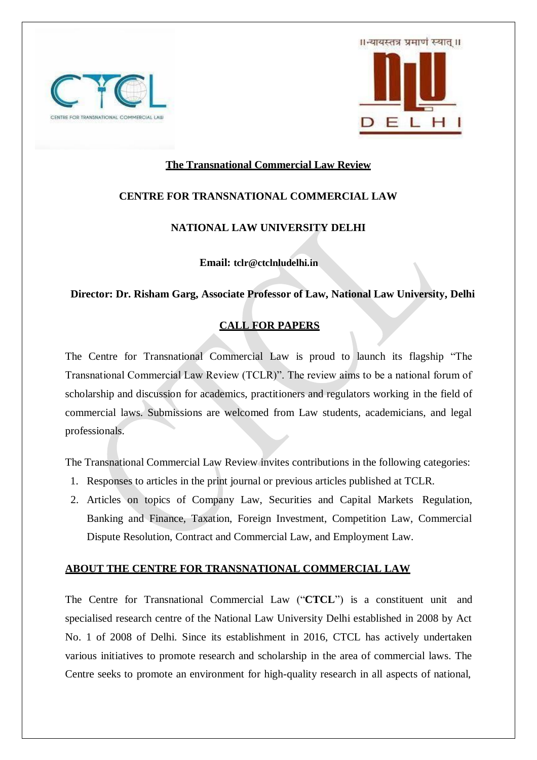



## **The Transnational Commercial Law Review**

# **CENTRE FOR TRANSNATIONAL COMMERCIAL LAW**

## **NATIONAL LAW UNIVERSITY DELHI**

**Email: tclr@ctclnludelhi.in**

 **Director: Dr. Risham Garg, Associate Professor of Law, National Law University, Delhi**

# **CALL FOR PAPERS**

The Centre for Transnational Commercial Law is proud to launch its flagship "The Transnational Commercial Law Review (TCLR)". The review aims to be a national forum of scholarship and discussion for academics, practitioners and regulators working in the field of commercial laws. Submissions are welcomed from Law students, academicians, and legal professionals.

The Transnational Commercial Law Review invites contributions in the following categories:

- 1. Responses to articles in the print journal or previous articles published at TCLR.
- 2. Articles on topics of Company Law, Securities and Capital Markets Regulation, Banking and Finance, Taxation, Foreign Investment, Competition Law, Commercial Dispute Resolution, Contract and Commercial Law, and Employment Law.

### **ABOUT THE CENTRE FOR TRANSNATIONAL COMMERCIAL LAW**

The Centre for Transnational Commercial Law ("**CTCL**") is a constituent unit and specialised research centre of the National Law University Delhi established in 2008 by Act No. 1 of 2008 of Delhi. Since its establishment in 2016, CTCL has actively undertaken various initiatives to promote research and scholarship in the area of commercial laws. The Centre seeks to promote an environment for high-quality research in all aspects of national,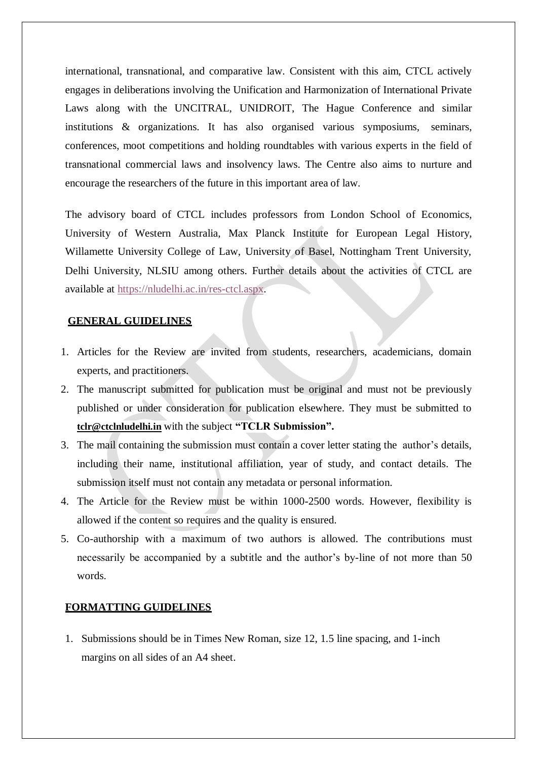international, transnational, and comparative law. Consistent with this aim, CTCL actively engages in deliberations involving the Unification and Harmonization of International Private Laws along with the UNCITRAL, UNIDROIT, The Hague Conference and similar institutions & organizations. It has also organised various symposiums, seminars, conferences, moot competitions and holding roundtables with various experts in the field of transnational commercial laws and insolvency laws. The Centre also aims to nurture and encourage the researchers of the future in this important area of law.

The advisory board of CTCL includes professors from London School of Economics, University of Western Australia, Max Planck Institute for European Legal History, Willamette University College of Law, University of Basel, Nottingham Trent University, Delhi University, NLSIU among others. Further details about the activities of CTCL are available at https://nludelhi.ac.in/res-ctcl.aspx.

#### **GENERAL GUIDELINES**

- 1. Articles for the Review are invited from students, researchers, academicians, domain experts, and practitioners.
- 2. The manuscript submitted for publication must be original and must not be previously published or under consideration for publication elsewhere. They must be submitted to **tclr@ctclnludelhi.in** with the subject **"TCLR Submission".**
- 3. The mail containing the submission must contain a cover letter stating the author's details, including their name, institutional affiliation, year of study, and contact details. The submission itself must not contain any metadata or personal information.
- 4. The Article for the Review must be within 1000-2500 words. However, flexibility is allowed if the content so requires and the quality is ensured.
- 5. Co-authorship with a maximum of two authors is allowed. The contributions must necessarily be accompanied by a subtitle and the author's by-line of not more than 50 words.

#### **FORMATTING GUIDELINES**

1. Submissions should be in Times New Roman, size 12, 1.5 line spacing, and 1-inch margins on all sides of an A4 sheet.